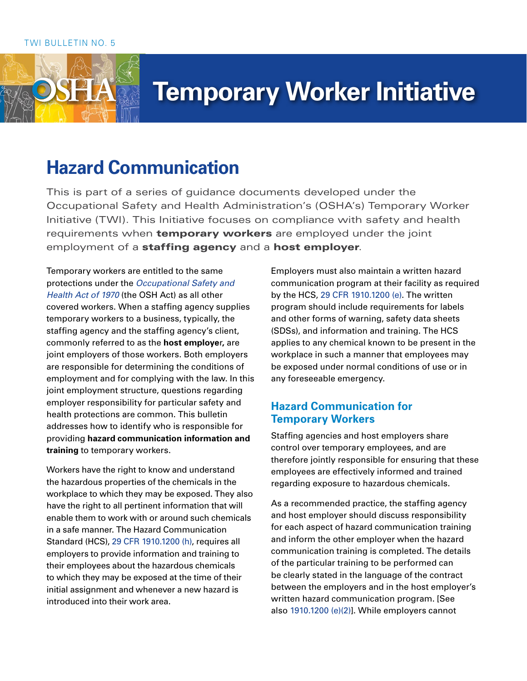

# **Temporary Worker Initiative**

# **Hazard Communication**

This is part of a series of guidance documents developed under the Occupational Safety and Health Administration's (OSHA's) Temporary Worker Initiative (TWI). This Initiative focuses on compliance with safety and health requirements when **temporary workers** are employed under the joint employment of a **staffing agency** and a **host employer**.

#### Temporary workers are entitled to the same protections under the *[Occupational Safety and](http://www.osha.gov/pls/oshaweb/owadisp.show_document?p_table=OSHACT&p_id=2743)  [Health Act of 1970](http://www.osha.gov/pls/oshaweb/owadisp.show_document?p_table=OSHACT&p_id=2743)* (the OSH Act) as all other

covered workers. When a staffing agency supplies temporary workers to a business, typically, the staffing agency and the staffing agency's client, commonly referred to as the **host employe**r**,** are joint employers of those workers. Both employers are responsible for determining the conditions of employment and for complying with the law. In this joint employment structure, questions regarding employer responsibility for particular safety and health protections are common. This bulletin addresses how to identify who is responsible for providing **hazard communication information and training** to temporary workers.

Workers have the right to know and understand the hazardous properties of the chemicals in the workplace to which they may be exposed. They also have the right to all pertinent information that will enable them to work with or around such chemicals in a safe manner. The Hazard Communication Standard (HCS), [29 CFR 1910.1200 \(h\),](http://www.osha.gov/pls/oshaweb/owadisp.show_document?p_table=standards&p_id=10099) requires all employers to provide information and training to their employees about the hazardous chemicals to which they may be exposed at the time of their initial assignment and whenever a new hazard is introduced into their work area.

Employers must also maintain a written hazard communication program at their facility as required by the HCS, [29 CFR 1910.1200 \(e\).](http://www.osha.gov/pls/oshaweb/owadisp.show_document?p_table=standards&p_id=10099) The written program should include requirements for labels and other forms of warning, safety data sheets (SDSs), and information and training. The HCS applies to any chemical known to be present in the workplace in such a manner that employees may be exposed under normal conditions of use or in any foreseeable emergency.

# **Hazard Communication for Temporary Workers**

Staffing agencies and host employers share control over temporary employees, and are therefore jointly responsible for ensuring that these employees are effectively informed and trained regarding exposure to hazardous chemicals.

As a recommended practice, the staffing agency and host employer should discuss responsibility for each aspect of hazard communication training and inform the other employer when the hazard communication training is completed. The details of the particular training to be performed can be clearly stated in the language of the contract between the employers and in the host employer's written hazard communication program. [See also [1910.1200 \(e\)\(2\)](http://www.osha.gov/pls/oshaweb/owadisp.show_document?p_table=standards&p_id=10099)]. While employers cannot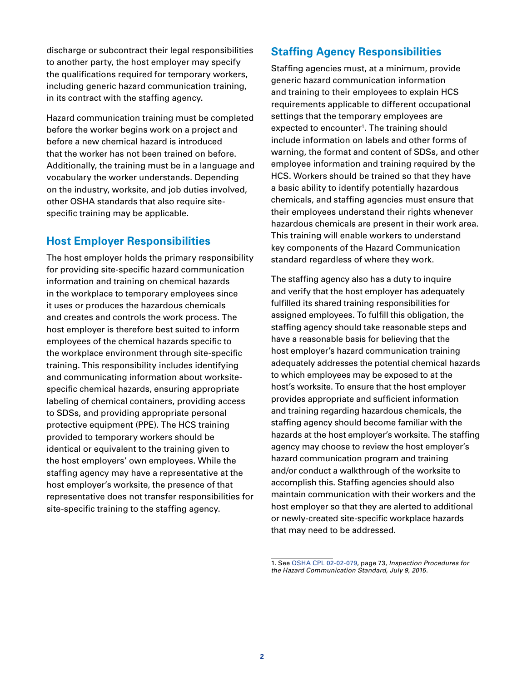discharge or subcontract their legal responsibilities to another party, the host employer may specify the qualifications required for temporary workers, including generic hazard communication training, in its contract with the staffing agency.

Hazard communication training must be completed before the worker begins work on a project and before a new chemical hazard is introduced that the worker has not been trained on before. Additionally, the training must be in a language and vocabulary the worker understands. Depending on the industry, worksite, and job duties involved, other OSHA standards that also require sitespecific training may be applicable.

# **Host Employer Responsibilities**

The host employer holds the primary responsibility for providing site-specific hazard communication information and training on chemical hazards in the workplace to temporary employees since it uses or produces the hazardous chemicals and creates and controls the work process. The host employer is therefore best suited to inform employees of the chemical hazards specific to the workplace environment through site-specific training. This responsibility includes identifying and communicating information about worksitespecific chemical hazards, ensuring appropriate labeling of chemical containers, providing access to SDSs, and providing appropriate personal protective equipment (PPE). The HCS training provided to temporary workers should be identical or equivalent to the training given to the host employers' own employees. While the staffing agency may have a representative at the host employer's worksite, the presence of that representative does not transfer responsibilities for site-specific training to the staffing agency.

## **Staffing Agency Responsibilities**

Staffing agencies must, at a minimum, provide generic hazard communication information and training to their employees to explain HCS requirements applicable to different occupational settings that the temporary employees are expected to encounter<sup>1</sup>. The training should include information on labels and other forms of warning, the format and content of SDSs, and other employee information and training required by the HCS. Workers should be trained so that they have a basic ability to identify potentially hazardous chemicals, and staffing agencies must ensure that their employees understand their rights whenever hazardous chemicals are present in their work area. This training will enable workers to understand key components of the Hazard Communication standard regardless of where they work.

The staffing agency also has a duty to inquire and verify that the host employer has adequately fulfilled its shared training responsibilities for assigned employees. To fulfill this obligation, the staffing agency should take reasonable steps and have a reasonable basis for believing that the host employer's hazard communication training adequately addresses the potential chemical hazards to which employees may be exposed to at the host's worksite. To ensure that the host employer provides appropriate and sufficient information and training regarding hazardous chemicals, the staffing agency should become familiar with the hazards at the host employer's worksite. The staffing agency may choose to review the host employer's hazard communication program and training and/or conduct a walkthrough of the worksite to accomplish this. Staffing agencies should also maintain communication with their workers and the host employer so that they are alerted to additional or newly-created site-specific workplace hazards that may need to be addressed.

<sup>1.</sup> See [OSHA CPL 02-02-079](http://www.osha.gov/OshDoc/Directive_pdf/CPL_02-02-079.pdf), page 73, *Inspection Procedures for the Hazard Communication Standard, July 9, 2015.*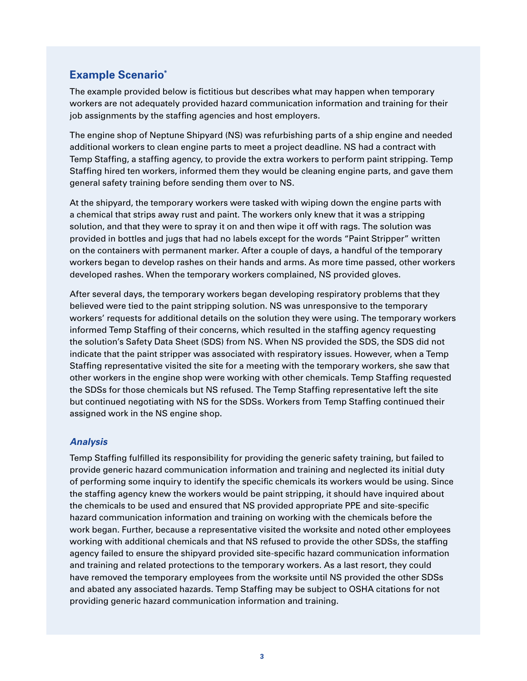### **Example Scenario\***

The example provided below is fictitious but describes what may happen when temporary workers are not adequately provided hazard communication information and training for their job assignments by the staffing agencies and host employers.

The engine shop of Neptune Shipyard (NS) was refurbishing parts of a ship engine and needed additional workers to clean engine parts to meet a project deadline. NS had a contract with Temp Staffing, a staffing agency, to provide the extra workers to perform paint stripping. Temp Staffing hired ten workers, informed them they would be cleaning engine parts, and gave them general safety training before sending them over to NS.

At the shipyard, the temporary workers were tasked with wiping down the engine parts with a chemical that strips away rust and paint. The workers only knew that it was a stripping solution, and that they were to spray it on and then wipe it off with rags. The solution was provided in bottles and jugs that had no labels except for the words "Paint Stripper" written on the containers with permanent marker. After a couple of days, a handful of the temporary workers began to develop rashes on their hands and arms. As more time passed, other workers developed rashes. When the temporary workers complained, NS provided gloves.

After several days, the temporary workers began developing respiratory problems that they believed were tied to the paint stripping solution. NS was unresponsive to the temporary workers' requests for additional details on the solution they were using. The temporary workers informed Temp Staffing of their concerns, which resulted in the staffing agency requesting the solution's Safety Data Sheet (SDS) from NS. When NS provided the SDS, the SDS did not indicate that the paint stripper was associated with respiratory issues. However, when a Temp Staffing representative visited the site for a meeting with the temporary workers, she saw that other workers in the engine shop were working with other chemicals. Temp Staffing requested the SDSs for those chemicals but NS refused. The Temp Staffing representative left the site but continued negotiating with NS for the SDSs. Workers from Temp Staffing continued their assigned work in the NS engine shop.

#### *Analysis*

Temp Staffing fulfilled its responsibility for providing the generic safety training, but failed to provide generic hazard communication information and training and neglected its initial duty of performing some inquiry to identify the specific chemicals its workers would be using. Since the staffing agency knew the workers would be paint stripping, it should have inquired about the chemicals to be used and ensured that NS provided appropriate PPE and site-specific hazard communication information and training on working with the chemicals before the work began. Further, because a representative visited the worksite and noted other employees working with additional chemicals and that NS refused to provide the other SDSs, the staffing agency failed to ensure the shipyard provided site-specific hazard communication information and training and related protections to the temporary workers. As a last resort, they could have removed the temporary employees from the worksite until NS provided the other SDSs and abated any associated hazards. Temp Staffing may be subject to OSHA citations for not providing generic hazard communication information and training.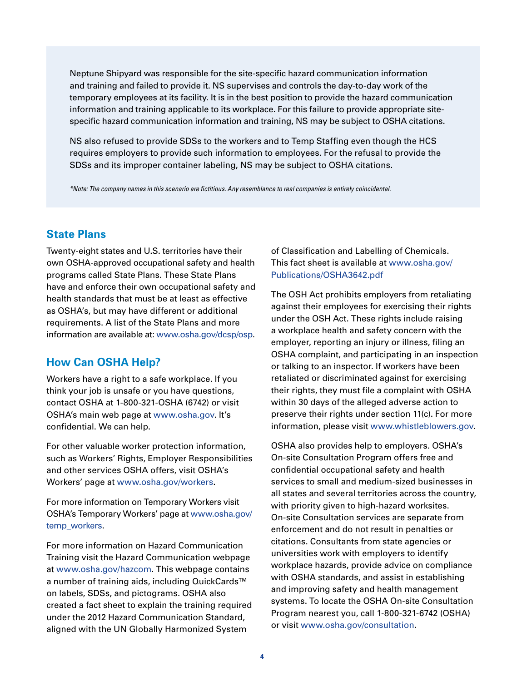Neptune Shipyard was responsible for the site-specific hazard communication information and training and failed to provide it. NS supervises and controls the day-to-day work of the temporary employees at its facility. It is in the best position to provide the hazard communication information and training applicable to its workplace. For this failure to provide appropriate sitespecific hazard communication information and training, NS may be subject to OSHA citations.

NS also refused to provide SDSs to the workers and to Temp Staffing even though the HCS requires employers to provide such information to employees. For the refusal to provide the SDSs and its improper container labeling, NS may be subject to OSHA citations.

*\*Note: The company names in this scenario are fictitious. Any resemblance to real companies is entirely coincidental.* 

#### **State Plans**

Twenty-eight states and U.S. territories have their own OSHA-approved occupational safety and health programs called State Plans. These State Plans have and enforce their own occupational safety and health standards that must be at least as effective as OSHA's, but may have different or additional requirements. A list of the State Plans and more information are available at: [www.osha.gov/dcsp/osp.](https://www.osha.gov/dcsp/osp)

#### **How Can OSHA Help?**

Workers have a right to a safe workplace. If you think your job is unsafe or you have questions, contact OSHA at 1-800-321-OSHA (6742) or visit OSHA's main web page at [www.osha.gov](http://www.osha.gov). It's confidential. We can help.

For other valuable worker protection information, such as Workers' Rights, Employer Responsibilities and other services OSHA offers, visit OSHA's Workers' page at [www.osha.gov/workers.](https://www.osha.gov/workers)

For more information on Temporary Workers visit OSHA's Temporary Workers' page at [www.osha.gov/](http://www.osha.gov/temp_workers) [temp\\_workers.](http://www.osha.gov/temp_workers)

For more information on Hazard Communication Training visit the Hazard Communication webpage at [www.osha.gov/hazcom](http://www.osha.gov/hazcom). This webpage contains a number of training aids, including QuickCards™ on labels, SDSs, and pictograms. OSHA also created a fact sheet to explain the training required under the 2012 Hazard Communication Standard, aligned with the UN Globally Harmonized System

of Classification and Labelling of Chemicals. This fact sheet is available at [www.osha.gov/](http://www.osha.gov/Publications/OSHA3642.pdf) [Publications/OSHA3642.pdf](http://www.osha.gov/Publications/OSHA3642.pdf)

The OSH Act prohibits employers from retaliating against their employees for exercising their rights under the OSH Act. These rights include raising a workplace health and safety concern with the employer, reporting an injury or illness, filing an OSHA complaint, and participating in an inspection or talking to an inspector. If workers have been retaliated or discriminated against for exercising their rights, they must file a complaint with OSHA within 30 days of the alleged adverse action to preserve their rights under section 11(c). For more information, please visit [www.whistleblowers.gov](http://www.whistleblowers.gov).

OSHA also provides help to employers. OSHA's On-site Consultation Program offers free and confidential occupational safety and health services to small and medium-sized businesses in all states and several territories across the country, with priority given to high-hazard worksites. On-site Consultation services are separate from enforcement and do not result in penalties or citations. Consultants from state agencies or universities work with employers to identify workplace hazards, provide advice on compliance with OSHA standards, and assist in establishing and improving safety and health management systems. To locate the OSHA On-site Consultation Program nearest you, call 1-800-321-6742 (OSHA) or visit [www.osha.gov/consultation](http://www.osha.gov/consultation).